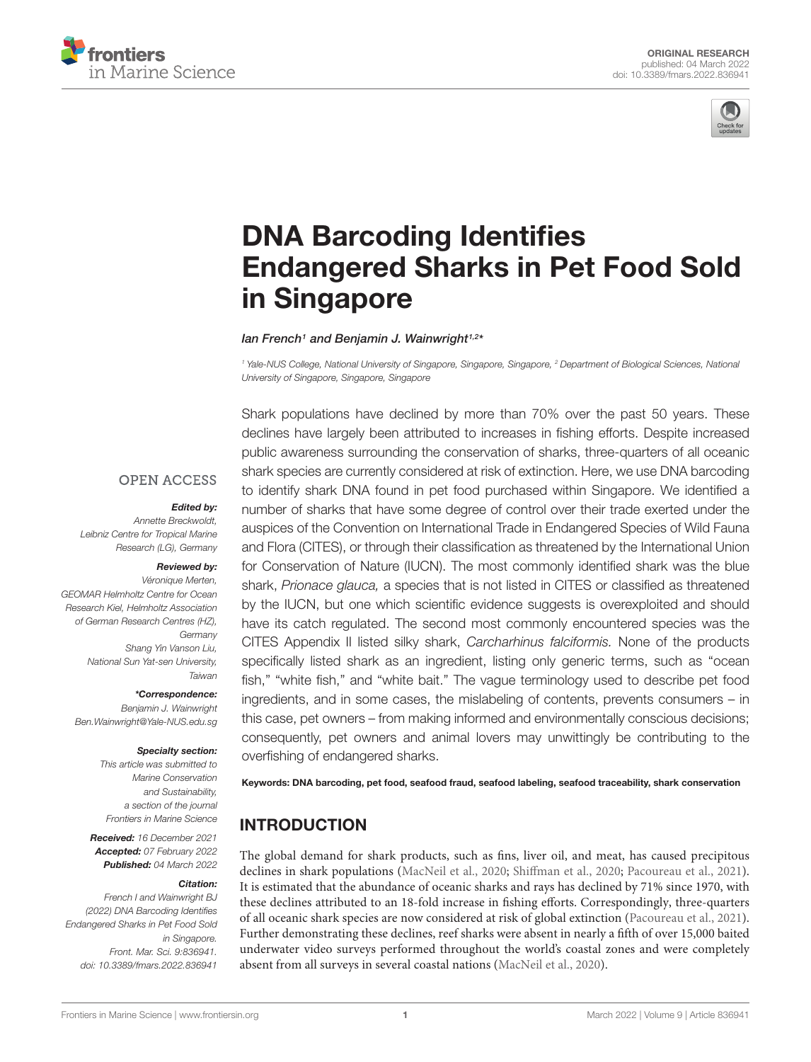



# DNA Barcoding Identifies [Endangered Sharks in Pet Food Sold](https://www.frontiersin.org/articles/10.3389/fmars.2022.836941/full) in Singapore

lan French<sup>1</sup> and Benjamin J. Wainwright<sup>1,2\*</sup>

<sup>1</sup> Yale-NUS College, National University of Singapore, Singapore, Singapore, <sup>2</sup> Department of Biological Sciences, National University of Singapore, Singapore, Singapore

Shark populations have declined by more than 70% over the past 50 years. These

**OPEN ACCESS** 

#### Edited by:

Annette Breckwoldt, Leibniz Centre for Tropical Marine Research (LG), Germany

# Reviewed by:

Véronique Merten, GEOMAR Helmholtz Centre for Ocean Research Kiel, Helmholtz Association of German Research Centres (HZ), Germany Shang Yin Vanson Liu, National Sun Yat-sen University, Taiwan

\*Correspondence:

Benjamin J. Wainwright Ben.Wainwright@Yale-NUS.edu.sg

### Specialty section:

This article was submitted to Marine Conservation and Sustainability, a section of the journal Frontiers in Marine Science

Received: 16 December 2021 Accepted: 07 February 2022 Published: 04 March 2022

#### Citation:

French I and Wainwright BJ (2022) DNA Barcoding Identifies Endangered Sharks in Pet Food Sold in Singapore. Front. Mar. Sci. 9:836941. doi: [10.3389/fmars.2022.836941](https://doi.org/10.3389/fmars.2022.836941)

declines have largely been attributed to increases in fishing efforts. Despite increased public awareness surrounding the conservation of sharks, three-quarters of all oceanic shark species are currently considered at risk of extinction. Here, we use DNA barcoding to identify shark DNA found in pet food purchased within Singapore. We identified a number of sharks that have some degree of control over their trade exerted under the auspices of the Convention on International Trade in Endangered Species of Wild Fauna and Flora (CITES), or through their classification as threatened by the International Union for Conservation of Nature (IUCN). The most commonly identified shark was the blue shark, Prionace glauca, a species that is not listed in CITES or classified as threatened by the IUCN, but one which scientific evidence suggests is overexploited and should have its catch regulated. The second most commonly encountered species was the CITES Appendix II listed silky shark, Carcharhinus falciformis. None of the products specifically listed shark as an ingredient, listing only generic terms, such as "ocean fish," "white fish," and "white bait." The vague terminology used to describe pet food ingredients, and in some cases, the mislabeling of contents, prevents consumers – in this case, pet owners – from making informed and environmentally conscious decisions; consequently, pet owners and animal lovers may unwittingly be contributing to the overfishing of endangered sharks.

Keywords: DNA barcoding, pet food, seafood fraud, seafood labeling, seafood traceability, shark conservation

# **INTRODUCTION**

The global demand for shark products, such as fins, liver oil, and meat, has caused precipitous declines in shark populations [\(MacNeil et al.,](#page-4-0) [2020;](#page-4-0) [Shiffman et al.,](#page-4-1) [2020;](#page-4-1) [Pacoureau et al.,](#page-4-2) [2021\)](#page-4-2). It is estimated that the abundance of oceanic sharks and rays has declined by 71% since 1970, with these declines attributed to an 18-fold increase in fishing efforts. Correspondingly, three-quarters of all oceanic shark species are now considered at risk of global extinction [\(Pacoureau et al.,](#page-4-2) [2021\)](#page-4-2). Further demonstrating these declines, reef sharks were absent in nearly a fifth of over 15,000 baited underwater video surveys performed throughout the world's coastal zones and were completely absent from all surveys in several coastal nations [\(MacNeil et al.,](#page-4-0) [2020\)](#page-4-0).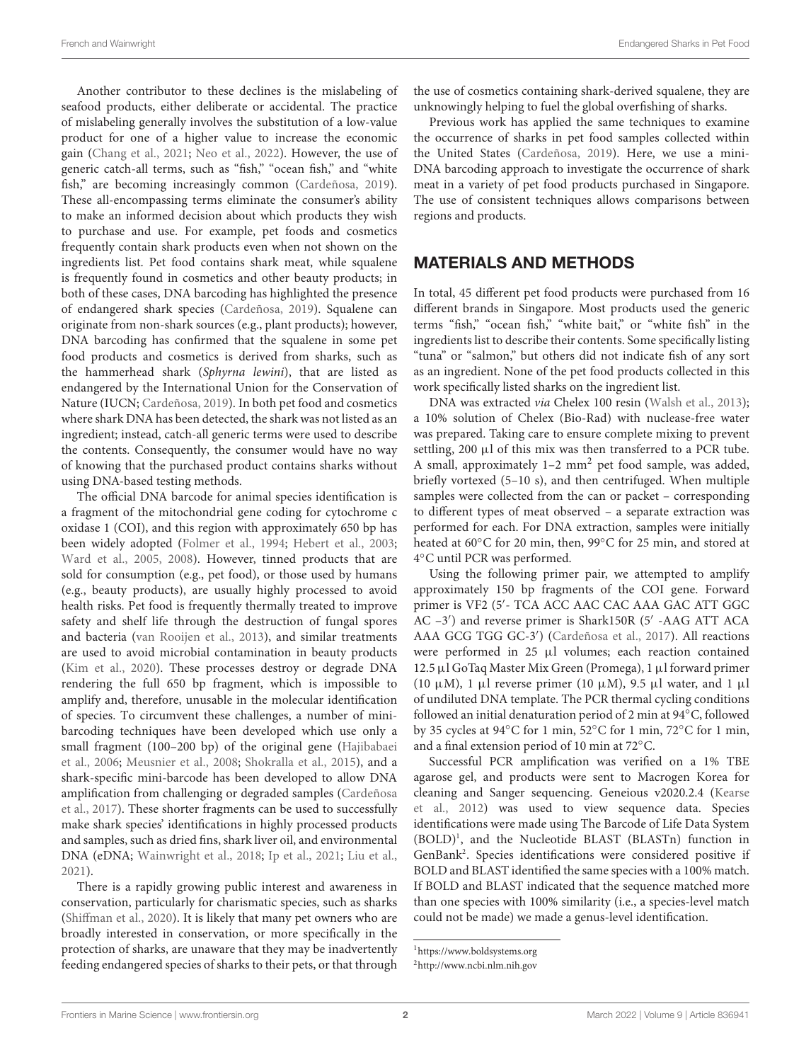Another contributor to these declines is the mislabeling of seafood products, either deliberate or accidental. The practice of mislabeling generally involves the substitution of a low-value product for one of a higher value to increase the economic gain [\(Chang et al.,](#page-4-3) [2021;](#page-4-3) [Neo et al.,](#page-4-4) [2022\)](#page-4-4). However, the use of generic catch-all terms, such as "fish," "ocean fish," and "white fish," are becoming increasingly common [\(Cardeñosa,](#page-4-5) [2019\)](#page-4-5). These all-encompassing terms eliminate the consumer's ability to make an informed decision about which products they wish to purchase and use. For example, pet foods and cosmetics frequently contain shark products even when not shown on the ingredients list. Pet food contains shark meat, while squalene is frequently found in cosmetics and other beauty products; in both of these cases, DNA barcoding has highlighted the presence of endangered shark species [\(Cardeñosa,](#page-4-5) [2019\)](#page-4-5). Squalene can originate from non-shark sources (e.g., plant products); however, DNA barcoding has confirmed that the squalene in some pet food products and cosmetics is derived from sharks, such as the hammerhead shark (Sphyrna lewini), that are listed as endangered by the International Union for the Conservation of Nature (IUCN; [Cardeñosa,](#page-4-5) [2019\)](#page-4-5). In both pet food and cosmetics where shark DNA has been detected, the shark was not listed as an ingredient; instead, catch-all generic terms were used to describe the contents. Consequently, the consumer would have no way of knowing that the purchased product contains sharks without using DNA-based testing methods.

The official DNA barcode for animal species identification is a fragment of the mitochondrial gene coding for cytochrome c oxidase 1 (COI), and this region with approximately 650 bp has been widely adopted [\(Folmer et al.,](#page-4-6) [1994;](#page-4-6) [Hebert et al.,](#page-4-7) [2003;](#page-4-7) [Ward et al.,](#page-5-0) [2005,](#page-5-0) [2008\)](#page-5-1). However, tinned products that are sold for consumption (e.g., pet food), or those used by humans (e.g., beauty products), are usually highly processed to avoid health risks. Pet food is frequently thermally treated to improve safety and shelf life through the destruction of fungal spores and bacteria [\(van Rooijen et al.,](#page-5-2) [2013\)](#page-5-2), and similar treatments are used to avoid microbial contamination in beauty products [\(Kim et al.,](#page-4-8) [2020\)](#page-4-8). These processes destroy or degrade DNA rendering the full 650 bp fragment, which is impossible to amplify and, therefore, unusable in the molecular identification of species. To circumvent these challenges, a number of minibarcoding techniques have been developed which use only a small fragment (100–200 bp) of the original gene [\(Hajibabaei](#page-4-9) [et al.,](#page-4-9) [2006;](#page-4-9) [Meusnier et al.,](#page-4-10) [2008;](#page-4-10) [Shokralla et al.,](#page-5-3) [2015\)](#page-5-3), and a shark-specific mini-barcode has been developed to allow DNA amplification from challenging or degraded samples [\(Cardeñosa](#page-4-11) [et al.,](#page-4-11) [2017\)](#page-4-11). These shorter fragments can be used to successfully make shark species' identifications in highly processed products and samples, such as dried fins, shark liver oil, and environmental DNA (eDNA; [Wainwright et al.,](#page-5-4) [2018;](#page-5-4) [Ip et al.,](#page-4-12) [2021;](#page-4-12) [Liu et al.,](#page-4-13) [2021\)](#page-4-13).

There is a rapidly growing public interest and awareness in conservation, particularly for charismatic species, such as sharks [\(Shiffman et al.,](#page-4-1) [2020\)](#page-4-1). It is likely that many pet owners who are broadly interested in conservation, or more specifically in the protection of sharks, are unaware that they may be inadvertently feeding endangered species of sharks to their pets, or that through the use of cosmetics containing shark-derived squalene, they are unknowingly helping to fuel the global overfishing of sharks.

Previous work has applied the same techniques to examine the occurrence of sharks in pet food samples collected within the United States [\(Cardeñosa,](#page-4-5) [2019\)](#page-4-5). Here, we use a mini-DNA barcoding approach to investigate the occurrence of shark meat in a variety of pet food products purchased in Singapore. The use of consistent techniques allows comparisons between regions and products.

# MATERIALS AND METHODS

In total, 45 different pet food products were purchased from 16 different brands in Singapore. Most products used the generic terms "fish," "ocean fish," "white bait," or "white fish" in the ingredients list to describe their contents. Some specifically listing "tuna" or "salmon," but others did not indicate fish of any sort as an ingredient. None of the pet food products collected in this work specifically listed sharks on the ingredient list.

DNA was extracted via Chelex 100 resin [\(Walsh et al.,](#page-5-5) [2013\)](#page-5-5); a 10% solution of Chelex (Bio-Rad) with nuclease-free water was prepared. Taking care to ensure complete mixing to prevent settling, 200  $\mu$ l of this mix was then transferred to a PCR tube. A small, approximately 1–2 mm<sup>2</sup> pet food sample, was added, briefly vortexed (5–10 s), and then centrifuged. When multiple samples were collected from the can or packet – corresponding to different types of meat observed – a separate extraction was performed for each. For DNA extraction, samples were initially heated at 60◦C for 20 min, then, 99◦C for 25 min, and stored at 4 ◦C until PCR was performed.

Using the following primer pair, we attempted to amplify approximately 150 bp fragments of the COI gene. Forward primer is VF2 (5'- TCA ACC AAC CAC AAA GAC ATT GGC AC -3') and reverse primer is Shark150R (5' -AAG ATT ACA AAA GCG TGG GC-3') [\(Cardeñosa et al.,](#page-4-11) [2017\)](#page-4-11). All reactions were performed in 25 µl volumes; each reaction contained 12.5 µl GoTaq Master Mix Green (Promega), 1 µl forward primer (10  $\mu$ M), 1  $\mu$ l reverse primer (10  $\mu$ M), 9.5  $\mu$ l water, and 1  $\mu$ l of undiluted DNA template. The PCR thermal cycling conditions followed an initial denaturation period of 2 min at 94◦C, followed by 35 cycles at 94◦C for 1 min, 52◦C for 1 min, 72◦C for 1 min, and a final extension period of 10 min at 72◦C.

Successful PCR amplification was verified on a 1% TBE agarose gel, and products were sent to Macrogen Korea for cleaning and Sanger sequencing. Geneious v2020.2.4 [\(Kearse](#page-4-14) [et al.,](#page-4-14) [2012\)](#page-4-14) was used to view sequence data. Species identifications were made using The Barcode of Life Data System (BOLD)[1](#page-1-0) , and the Nucleotide BLAST (BLASTn) function in GenBank[2](#page-1-1) . Species identifications were considered positive if BOLD and BLAST identified the same species with a 100% match. If BOLD and BLAST indicated that the sequence matched more than one species with 100% similarity (i.e., a species-level match could not be made) we made a genus-level identification.

<span id="page-1-0"></span><sup>1</sup><https://www.boldsystems.org>

<span id="page-1-1"></span><sup>2</sup><http://www.ncbi.nlm.nih.gov>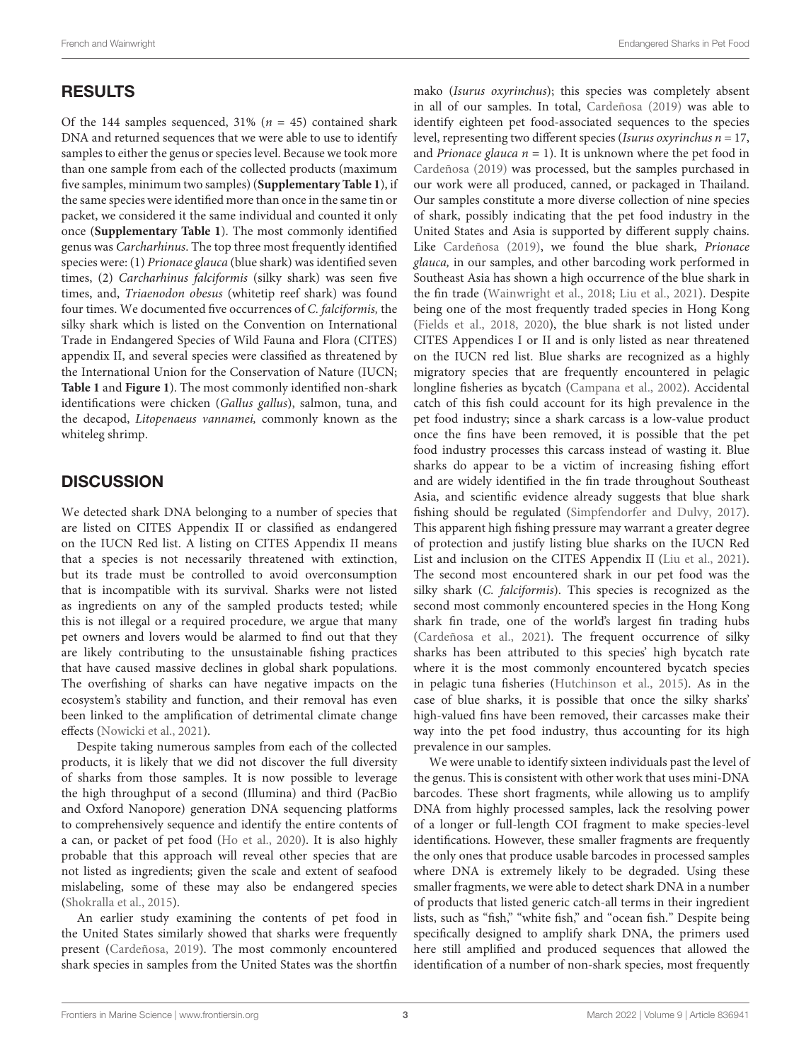# RESULTS

Of the 144 samples sequenced, 31% ( $n = 45$ ) contained shark DNA and returned sequences that we were able to use to identify samples to either the genus or species level. Because we took more than one sample from each of the collected products (maximum five samples, minimum two samples) (**[Supplementary Table 1](#page-4-15)**), if the same species were identified more than once in the same tin or packet, we considered it the same individual and counted it only once (**[Supplementary Table 1](#page-4-15)**). The most commonly identified genus was Carcharhinus. The top three most frequently identified species were: (1) Prionace glauca (blue shark) was identified seven times, (2) Carcharhinus falciformis (silky shark) was seen five times, and, Triaenodon obesus (whitetip reef shark) was found four times. We documented five occurrences of C. falciformis, the silky shark which is listed on the Convention on International Trade in Endangered Species of Wild Fauna and Flora (CITES) appendix II, and several species were classified as threatened by the International Union for the Conservation of Nature (IUCN; **[Table 1](#page-3-0)** and **[Figure 1](#page-3-1)**). The most commonly identified non-shark identifications were chicken (Gallus gallus), salmon, tuna, and the decapod, Litopenaeus vannamei, commonly known as the whiteleg shrimp.

# **DISCUSSION**

We detected shark DNA belonging to a number of species that are listed on CITES Appendix II or classified as endangered on the IUCN Red list. A listing on CITES Appendix II means that a species is not necessarily threatened with extinction, but its trade must be controlled to avoid overconsumption that is incompatible with its survival. Sharks were not listed as ingredients on any of the sampled products tested; while this is not illegal or a required procedure, we argue that many pet owners and lovers would be alarmed to find out that they are likely contributing to the unsustainable fishing practices that have caused massive declines in global shark populations. The overfishing of sharks can have negative impacts on the ecosystem's stability and function, and their removal has even been linked to the amplification of detrimental climate change effects [\(Nowicki et al.,](#page-4-16) [2021\)](#page-4-16).

Despite taking numerous samples from each of the collected products, it is likely that we did not discover the full diversity of sharks from those samples. It is now possible to leverage the high throughput of a second (Illumina) and third (PacBio and Oxford Nanopore) generation DNA sequencing platforms to comprehensively sequence and identify the entire contents of a can, or packet of pet food [\(Ho et al.,](#page-4-17) [2020\)](#page-4-17). It is also highly probable that this approach will reveal other species that are not listed as ingredients; given the scale and extent of seafood mislabeling, some of these may also be endangered species [\(Shokralla et al.,](#page-5-3) [2015\)](#page-5-3).

An earlier study examining the contents of pet food in the United States similarly showed that sharks were frequently present [\(Cardeñosa,](#page-4-5) [2019\)](#page-4-5). The most commonly encountered shark species in samples from the United States was the shortfin mako (Isurus oxyrinchus); this species was completely absent in all of our samples. In total, [Cardeñosa](#page-4-5) [\(2019\)](#page-4-5) was able to identify eighteen pet food-associated sequences to the species level, representing two different species (*Isurus oxyrinchus n* =  $17$ , and *Prionace glauca*  $n = 1$ ). It is unknown where the pet food in [Cardeñosa](#page-4-5) [\(2019\)](#page-4-5) was processed, but the samples purchased in our work were all produced, canned, or packaged in Thailand. Our samples constitute a more diverse collection of nine species of shark, possibly indicating that the pet food industry in the United States and Asia is supported by different supply chains. Like [Cardeñosa](#page-4-5) [\(2019\)](#page-4-5), we found the blue shark, Prionace glauca, in our samples, and other barcoding work performed in Southeast Asia has shown a high occurrence of the blue shark in the fin trade [\(Wainwright et al.,](#page-5-4) [2018;](#page-5-4) [Liu et al.,](#page-4-13) [2021\)](#page-4-13). Despite being one of the most frequently traded species in Hong Kong [\(Fields et al.,](#page-4-18) [2018,](#page-4-18) [2020\)](#page-4-19), the blue shark is not listed under CITES Appendices I or II and is only listed as near threatened on the IUCN red list. Blue sharks are recognized as a highly migratory species that are frequently encountered in pelagic longline fisheries as bycatch [\(Campana et al.,](#page-4-20) [2002\)](#page-4-20). Accidental catch of this fish could account for its high prevalence in the pet food industry; since a shark carcass is a low-value product once the fins have been removed, it is possible that the pet food industry processes this carcass instead of wasting it. Blue sharks do appear to be a victim of increasing fishing effort and are widely identified in the fin trade throughout Southeast Asia, and scientific evidence already suggests that blue shark fishing should be regulated [\(Simpfendorfer and Dulvy,](#page-5-6) [2017\)](#page-5-6). This apparent high fishing pressure may warrant a greater degree of protection and justify listing blue sharks on the IUCN Red List and inclusion on the CITES Appendix II [\(Liu et al.,](#page-4-13) [2021\)](#page-4-13). The second most encountered shark in our pet food was the silky shark (C. falciformis). This species is recognized as the second most commonly encountered species in the Hong Kong shark fin trade, one of the world's largest fin trading hubs [\(Cardeñosa et al.,](#page-4-21) [2021\)](#page-4-21). The frequent occurrence of silky sharks has been attributed to this species' high bycatch rate where it is the most commonly encountered bycatch species in pelagic tuna fisheries [\(Hutchinson et al.,](#page-4-22) [2015\)](#page-4-22). As in the case of blue sharks, it is possible that once the silky sharks' high-valued fins have been removed, their carcasses make their way into the pet food industry, thus accounting for its high prevalence in our samples.

We were unable to identify sixteen individuals past the level of the genus. This is consistent with other work that uses mini-DNA barcodes. These short fragments, while allowing us to amplify DNA from highly processed samples, lack the resolving power of a longer or full-length COI fragment to make species-level identifications. However, these smaller fragments are frequently the only ones that produce usable barcodes in processed samples where DNA is extremely likely to be degraded. Using these smaller fragments, we were able to detect shark DNA in a number of products that listed generic catch-all terms in their ingredient lists, such as "fish," "white fish," and "ocean fish." Despite being specifically designed to amplify shark DNA, the primers used here still amplified and produced sequences that allowed the identification of a number of non-shark species, most frequently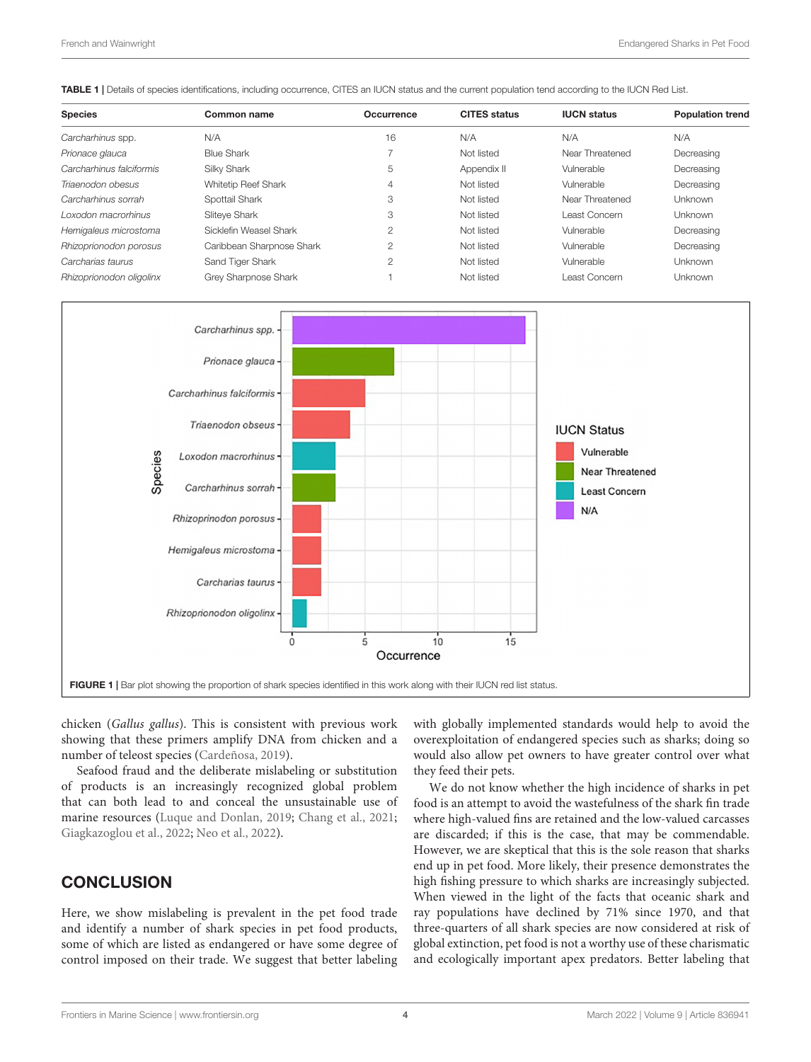<span id="page-3-0"></span>TABLE 1 | Details of species identifications, including occurrence, CITES an IUCN status and the current population tend according to the IUCN Red List.

| <b>Species</b>           | Common name               | Occurrence    | <b>CITES</b> status | <b>IUCN status</b> | <b>Population trend</b> |
|--------------------------|---------------------------|---------------|---------------------|--------------------|-------------------------|
| Carcharhinus spp.        | N/A                       | 16            | N/A                 | N/A                | N/A                     |
| Prionace glauca          | <b>Blue Shark</b>         |               | Not listed          | Near Threatened    | Decreasing              |
| Carcharhinus falciformis | Silky Shark               | 5             | Appendix II         | Vulnerable         | Decreasing              |
| Triaenodon obesus        | Whitetip Reef Shark       | 4             | Not listed          | Vulnerable         | Decreasing              |
| Carcharhinus sorrah      | Spottail Shark            | 3             | Not listed          | Near Threatened    | <b>Unknown</b>          |
| Loxodon macrorhinus      | Sliteve Shark             | 3             | Not listed          | Least Concern      | <b>Unknown</b>          |
| Hemigaleus microstoma    | Sicklefin Weasel Shark    | $\mathcal{P}$ | Not listed          | Vulnerable         | Decreasing              |
| Rhizoprionodon porosus   | Caribbean Sharpnose Shark | 2             | Not listed          | Vulnerable         | Decreasing              |
| Carcharias taurus        | Sand Tiger Shark          | 2             | Not listed          | Vulnerable         | Unknown                 |
| Rhizoprionodon oligolinx | Grey Sharpnose Shark      |               | Not listed          | Least Concern      | Unknown                 |



<span id="page-3-1"></span>chicken (Gallus gallus). This is consistent with previous work showing that these primers amplify DNA from chicken and a number of teleost species [\(Cardeñosa,](#page-4-5) [2019\)](#page-4-5).

Seafood fraud and the deliberate mislabeling or substitution of products is an increasingly recognized global problem that can both lead to and conceal the unsustainable use of marine resources [\(Luque and Donlan,](#page-4-23) [2019;](#page-4-23) [Chang et al.,](#page-4-3) [2021;](#page-4-3) [Giagkazoglou et al.,](#page-4-24) [2022;](#page-4-24) [Neo et al.,](#page-4-4) [2022\)](#page-4-4).

# **CONCLUSION**

Here, we show mislabeling is prevalent in the pet food trade and identify a number of shark species in pet food products, some of which are listed as endangered or have some degree of control imposed on their trade. We suggest that better labeling with globally implemented standards would help to avoid the overexploitation of endangered species such as sharks; doing so would also allow pet owners to have greater control over what they feed their pets.

We do not know whether the high incidence of sharks in pet food is an attempt to avoid the wastefulness of the shark fin trade where high-valued fins are retained and the low-valued carcasses are discarded; if this is the case, that may be commendable. However, we are skeptical that this is the sole reason that sharks end up in pet food. More likely, their presence demonstrates the high fishing pressure to which sharks are increasingly subjected. When viewed in the light of the facts that oceanic shark and ray populations have declined by 71% since 1970, and that three-quarters of all shark species are now considered at risk of global extinction, pet food is not a worthy use of these charismatic and ecologically important apex predators. Better labeling that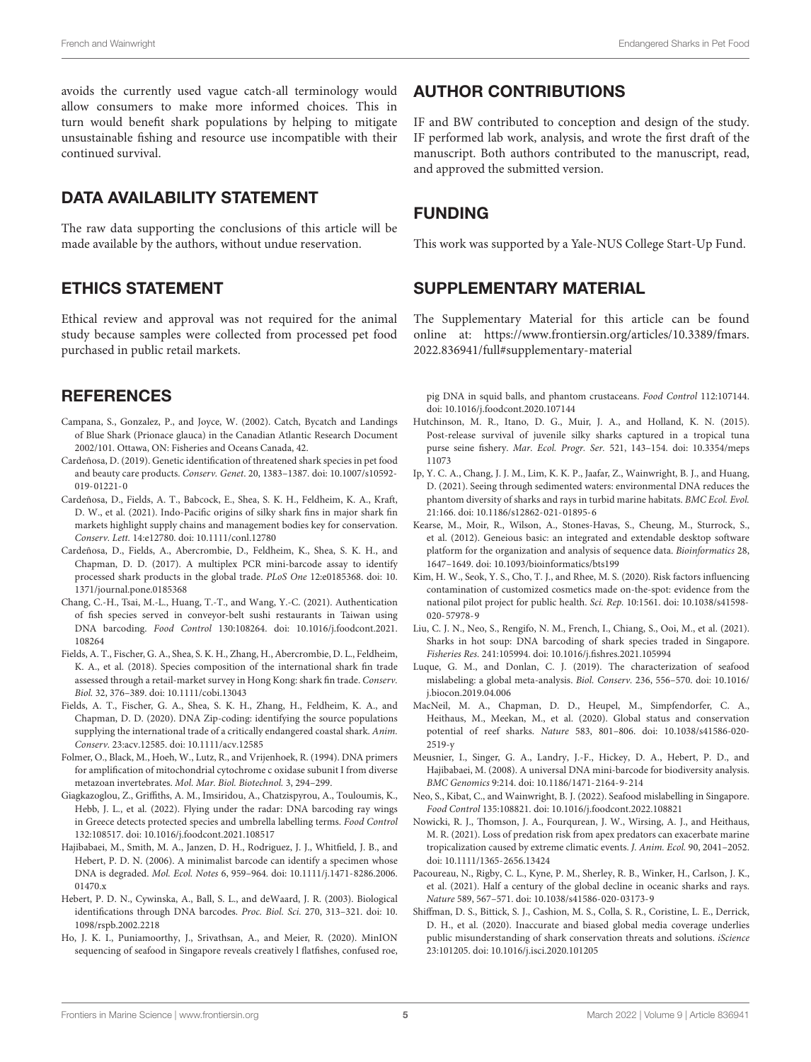avoids the currently used vague catch-all terminology would allow consumers to make more informed choices. This in turn would benefit shark populations by helping to mitigate unsustainable fishing and resource use incompatible with their continued survival.

# DATA AVAILABILITY STATEMENT

The raw data supporting the conclusions of this article will be made available by the authors, without undue reservation.

### ETHICS STATEMENT

Ethical review and approval was not required for the animal study because samples were collected from processed pet food purchased in public retail markets.

# **REFERENCES**

- <span id="page-4-20"></span>Campana, S., Gonzalez, P., and Joyce, W. (2002). Catch, Bycatch and Landings of Blue Shark (Prionace glauca) in the Canadian Atlantic Research Document 2002/101. Ottawa, ON: Fisheries and Oceans Canada, 42.
- <span id="page-4-5"></span>Cardeñosa, D. (2019). Genetic identification of threatened shark species in pet food and beauty care products. Conserv. Genet. 20, 1383–1387. [doi: 10.1007/s10592-](https://doi.org/10.1007/s10592-019-01221-0) [019-01221-0](https://doi.org/10.1007/s10592-019-01221-0)
- <span id="page-4-21"></span>Cardeñosa, D., Fields, A. T., Babcock, E., Shea, S. K. H., Feldheim, K. A., Kraft, D. W., et al. (2021). Indo-Pacific origins of silky shark fins in major shark fin markets highlight supply chains and management bodies key for conservation. Conserv. Lett. 14:e12780. [doi: 10.1111/conl.12780](https://doi.org/10.1111/conl.12780)
- <span id="page-4-11"></span>Cardeñosa, D., Fields, A., Abercrombie, D., Feldheim, K., Shea, S. K. H., and Chapman, D. D. (2017). A multiplex PCR mini-barcode assay to identify processed shark products in the global trade. PLoS One 12:e0185368. [doi: 10.](https://doi.org/10.1371/journal.pone.0185368) [1371/journal.pone.0185368](https://doi.org/10.1371/journal.pone.0185368)
- <span id="page-4-3"></span>Chang, C.-H., Tsai, M.-L., Huang, T.-T., and Wang, Y.-C. (2021). Authentication of fish species served in conveyor-belt sushi restaurants in Taiwan using DNA barcoding. Food Control 130:108264. [doi: 10.1016/j.foodcont.2021.](https://doi.org/10.1016/j.foodcont.2021.108264) [108264](https://doi.org/10.1016/j.foodcont.2021.108264)
- <span id="page-4-18"></span>Fields, A. T., Fischer, G. A., Shea, S. K. H., Zhang, H., Abercrombie, D. L., Feldheim, K. A., et al. (2018). Species composition of the international shark fin trade assessed through a retail-market survey in Hong Kong: shark fin trade. Conserv. Biol. 32, 376–389. [doi: 10.1111/cobi.13043](https://doi.org/10.1111/cobi.13043)
- <span id="page-4-19"></span>Fields, A. T., Fischer, G. A., Shea, S. K. H., Zhang, H., Feldheim, K. A., and Chapman, D. D. (2020). DNA Zip-coding: identifying the source populations supplying the international trade of a critically endangered coastal shark. Anim. Conserv. 23:acv.12585. [doi: 10.1111/acv.12585](https://doi.org/10.1111/acv.12585)
- <span id="page-4-6"></span>Folmer, O., Black, M., Hoeh, W., Lutz, R., and Vrijenhoek, R. (1994). DNA primers for amplification of mitochondrial cytochrome c oxidase subunit I from diverse metazoan invertebrates. Mol. Mar. Biol. Biotechnol. 3, 294–299.
- <span id="page-4-24"></span>Giagkazoglou, Z., Griffiths, A. M., Imsiridou, A., Chatzispyrou, A., Touloumis, K., Hebb, J. L., et al. (2022). Flying under the radar: DNA barcoding ray wings in Greece detects protected species and umbrella labelling terms. Food Control 132:108517. [doi: 10.1016/j.foodcont.2021.108517](https://doi.org/10.1016/j.foodcont.2021.108517)
- <span id="page-4-9"></span>Hajibabaei, M., Smith, M. A., Janzen, D. H., Rodriguez, J. J., Whitfield, J. B., and Hebert, P. D. N. (2006). A minimalist barcode can identify a specimen whose DNA is degraded. Mol. Ecol. Notes 6, 959–964. [doi: 10.1111/j.1471-8286.2006.](https://doi.org/10.1111/j.1471-8286.2006.01470.x) [01470.x](https://doi.org/10.1111/j.1471-8286.2006.01470.x)
- <span id="page-4-7"></span>Hebert, P. D. N., Cywinska, A., Ball, S. L., and deWaard, J. R. (2003). Biological identifications through DNA barcodes. Proc. Biol. Sci. 270, 313–321. [doi: 10.](https://doi.org/10.1098/rspb.2002.2218) [1098/rspb.2002.2218](https://doi.org/10.1098/rspb.2002.2218)
- <span id="page-4-17"></span>Ho, J. K. I., Puniamoorthy, J., Srivathsan, A., and Meier, R. (2020). MinION sequencing of seafood in Singapore reveals creatively l flatfishes, confused roe,

### AUTHOR CONTRIBUTIONS

IF and BW contributed to conception and design of the study. IF performed lab work, analysis, and wrote the first draft of the manuscript. Both authors contributed to the manuscript, read, and approved the submitted version.

# FUNDING

This work was supported by a Yale-NUS College Start-Up Fund.

# <span id="page-4-15"></span>SUPPLEMENTARY MATERIAL

The Supplementary Material for this article can be found online at: [https://www.frontiersin.org/articles/10.3389/fmars.](https://www.frontiersin.org/articles/10.3389/fmars.2022.836941/full#supplementary-material) [2022.836941/full#supplementary-material](https://www.frontiersin.org/articles/10.3389/fmars.2022.836941/full#supplementary-material)

pig DNA in squid balls, and phantom crustaceans. Food Control 112:107144. [doi: 10.1016/j.foodcont.2020.107144](https://doi.org/10.1016/j.foodcont.2020.107144)

- <span id="page-4-22"></span>Hutchinson, M. R., Itano, D. G., Muir, J. A., and Holland, K. N. (2015). Post-release survival of juvenile silky sharks captured in a tropical tuna purse seine fishery. Mar. Ecol. Progr. Ser. 521, 143–154. [doi: 10.3354/meps](https://doi.org/10.3354/meps11073) [11073](https://doi.org/10.3354/meps11073)
- <span id="page-4-12"></span>Ip, Y. C. A., Chang, J. J. M., Lim, K. K. P., Jaafar, Z., Wainwright, B. J., and Huang, D. (2021). Seeing through sedimented waters: environmental DNA reduces the phantom diversity of sharks and rays in turbid marine habitats. BMC Ecol. Evol. 21:166. [doi: 10.1186/s12862-021-01895-6](https://doi.org/10.1186/s12862-021-01895-6)
- <span id="page-4-14"></span>Kearse, M., Moir, R., Wilson, A., Stones-Havas, S., Cheung, M., Sturrock, S., et al. (2012). Geneious basic: an integrated and extendable desktop software platform for the organization and analysis of sequence data. Bioinformatics 28, 1647–1649. [doi: 10.1093/bioinformatics/bts199](https://doi.org/10.1093/bioinformatics/bts199)
- <span id="page-4-8"></span>Kim, H. W., Seok, Y. S., Cho, T. J., and Rhee, M. S. (2020). Risk factors influencing contamination of customized cosmetics made on-the-spot: evidence from the national pilot project for public health. Sci. Rep. 10:1561. [doi: 10.1038/s41598-](https://doi.org/10.1038/s41598-020-57978-9) [020-57978-9](https://doi.org/10.1038/s41598-020-57978-9)
- <span id="page-4-13"></span>Liu, C. J. N., Neo, S., Rengifo, N. M., French, I., Chiang, S., Ooi, M., et al. (2021). Sharks in hot soup: DNA barcoding of shark species traded in Singapore. Fisheries Res. 241:105994. [doi: 10.1016/j.fishres.2021.105994](https://doi.org/10.1016/j.fishres.2021.105994)
- <span id="page-4-23"></span>Luque, G. M., and Donlan, C. J. (2019). The characterization of seafood mislabeling: a global meta-analysis. Biol. Conserv. 236, 556–570. [doi: 10.1016/](https://doi.org/10.1016/j.biocon.2019.04.006) [j.biocon.2019.04.006](https://doi.org/10.1016/j.biocon.2019.04.006)
- <span id="page-4-0"></span>MacNeil, M. A., Chapman, D. D., Heupel, M., Simpfendorfer, C. A., Heithaus, M., Meekan, M., et al. (2020). Global status and conservation potential of reef sharks. Nature 583, 801–806. [doi: 10.1038/s41586-020-](https://doi.org/10.1038/s41586-020-2519-y)  $2519-y$
- <span id="page-4-10"></span>Meusnier, I., Singer, G. A., Landry, J.-F., Hickey, D. A., Hebert, P. D., and Hajibabaei, M. (2008). A universal DNA mini-barcode for biodiversity analysis. BMC Genomics 9:214. [doi: 10.1186/1471-2164-9-214](https://doi.org/10.1186/1471-2164-9-214)
- <span id="page-4-4"></span>Neo, S., Kibat, C., and Wainwright, B. J. (2022). Seafood mislabelling in Singapore. Food Control 135:108821. [doi: 10.1016/j.foodcont.2022.108821](https://doi.org/10.1016/j.foodcont.2022.108821)
- <span id="page-4-16"></span>Nowicki, R. J., Thomson, J. A., Fourqurean, J. W., Wirsing, A. J., and Heithaus, M. R. (2021). Loss of predation risk from apex predators can exacerbate marine tropicalization caused by extreme climatic events. J. Anim. Ecol. 90, 2041–2052. [doi: 10.1111/1365-2656.13424](https://doi.org/10.1111/1365-2656.13424)
- <span id="page-4-2"></span>Pacoureau, N., Rigby, C. L., Kyne, P. M., Sherley, R. B., Winker, H., Carlson, J. K., et al. (2021). Half a century of the global decline in oceanic sharks and rays. Nature 589, 567–571. [doi: 10.1038/s41586-020-03173-9](https://doi.org/10.1038/s41586-020-03173-9)
- <span id="page-4-1"></span>Shiffman, D. S., Bittick, S. J., Cashion, M. S., Colla, S. R., Coristine, L. E., Derrick, D. H., et al. (2020). Inaccurate and biased global media coverage underlies public misunderstanding of shark conservation threats and solutions. *iScience* 23:101205. [doi: 10.1016/j.isci.2020.101205](https://doi.org/10.1016/j.isci.2020.101205)